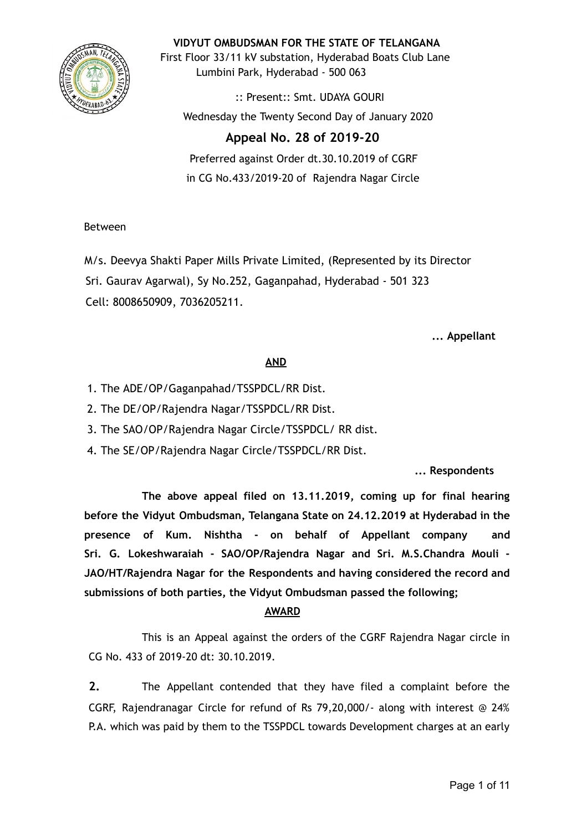

**VIDYUT OMBUDSMAN FOR THE STATE OF TELANGANA**

First Floor 33/11 kV substation, Hyderabad Boats Club Lane Lumbini Park, Hyderabad - 500 063

:: Present:: Smt. UDAYA GOURI Wednesday the Twenty Second Day of January 2020

# **Appeal No. 28 of 2019-20**

Preferred against Order dt.30.10.2019 of CGRF in CG No.433/2019-20 of Rajendra Nagar Circle

# Between

M/s. Deevya Shakti Paper Mills Private Limited, (Represented by its Director Sri. Gaurav Agarwal), Sy No.252, Gaganpahad, Hyderabad - 501 323 Cell: 8008650909, 7036205211.

**... Appellant**

# **AND**

- 1. The ADE/OP/Gaganpahad/TSSPDCL/RR Dist.
- 2. The DE/OP/Rajendra Nagar/TSSPDCL/RR Dist.
- 3. The SAO/OP/Rajendra Nagar Circle/TSSPDCL/ RR dist.
- 4. The SE/OP/Rajendra Nagar Circle/TSSPDCL/RR Dist.

# **... Respondents**

**The above appeal filed on 13.11.2019, coming up for final hearing before the Vidyut Ombudsman, Telangana State on 24.12.2019 at Hyderabad in the presence of Kum. Nishtha - on behalf of Appellant company and Sri. G. Lokeshwaraiah - SAO/OP/Rajendra Nagar and Sri. M.S.Chandra Mouli - JAO/HT/Rajendra Nagar for the Respondents and having considered the record and submissions of both parties, the Vidyut Ombudsman passed the following;**

# **AWARD**

This is an Appeal against the orders of the CGRF Rajendra Nagar circle in CG No. 433 of 2019-20 dt: 30.10.2019.

**2.** The Appellant contended that they have filed a complaint before the CGRF, Rajendranagar Circle for refund of Rs 79,20,000/- along with interest @ 24% P.A. which was paid by them to the TSSPDCL towards Development charges at an early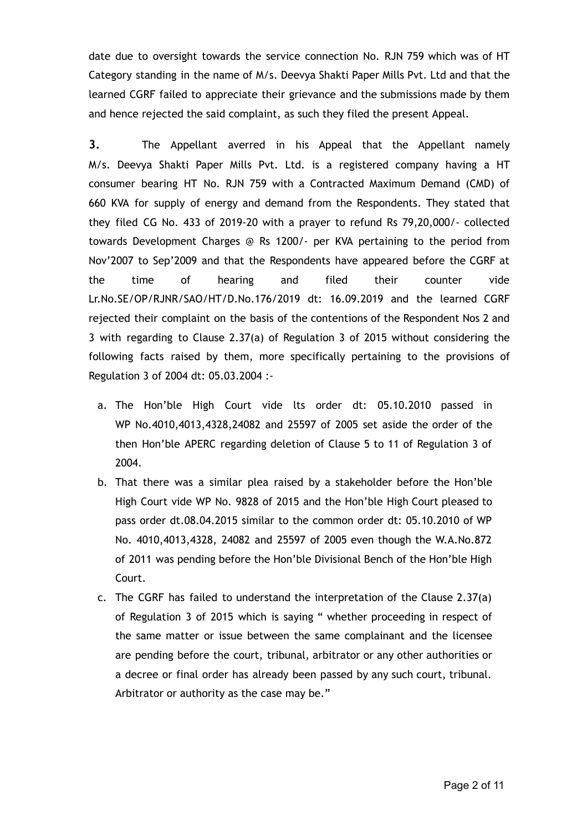date due to oversight towards the service connection No. RJN 759 which was of HT Category standing in the name of M/s. Deevya Shakti Paper Mills Pvt. Ltd and that the learned CGRF failed to appreciate their grievance and the submissions made by them and hence rejected the said complaint, as such they filed the present Appeal.

**3.** The Appellant averred in his Appeal that the Appellant namely M/s. Deevya Shakti Paper Mills Pvt. Ltd. is a registered company having a HT consumer bearing HT No. RJN 759 with a Contracted Maximum Demand (CMD) of 660 KVA for supply of energy and demand from the Respondents. They stated that they filed CG No. 433 of 2019-20 with a prayer to refund Rs 79,20,000/- collected towards Development Charges @ Rs 1200/- per KVA pertaining to the period from Nov'2007 to Sep'2009 and that the Respondents have appeared before the CGRF at the time of hearing and filed their counter vide Lr.No.SE/OP/RJNR/SAO/HT/D.No.176/2019 dt: 16.09.2019 and the learned CGRF rejected their complaint on the basis of the contentions of the Respondent Nos 2 and 3 with regarding to Clause 2.37(a) of Regulation 3 of 2015 without considering the following facts raised by them, more specifically pertaining to the provisions of Regulation 3 of 2004 dt: 05.03.2004 :-

- a. The Hon'ble High Court vide lts order dt: 05.10.2010 passed in WP No.4010,4013,4328,24082 and 25597 of 2005 set aside the order of the then Hon'ble APERC regarding deletion of Clause 5 to 11 of Regulation 3 of 2004.
- b. That there was a similar plea raised by a stakeholder before the Hon'ble High Court vide WP No. 9828 of 2015 and the Hon'ble High Court pleased to pass order dt.08.04.2015 similar to the common order dt: 05.10.2010 of WP No. 4010,4013,4328, 24082 and 25597 of 2005 even though the W.A.No.872 of 2011 was pending before the Hon'ble Divisional Bench of the Hon'ble High Court.
- c. The CGRF has failed to understand the interpretation of the Clause 2.37(a) of Regulation 3 of 2015 which is saying " whether proceeding in respect of the same matter or issue between the same complainant and the licensee are pending before the court, tribunal, arbitrator or any other authorities or a decree or final order has already been passed by any such court, tribunal. Arbitrator or authority as the case may be."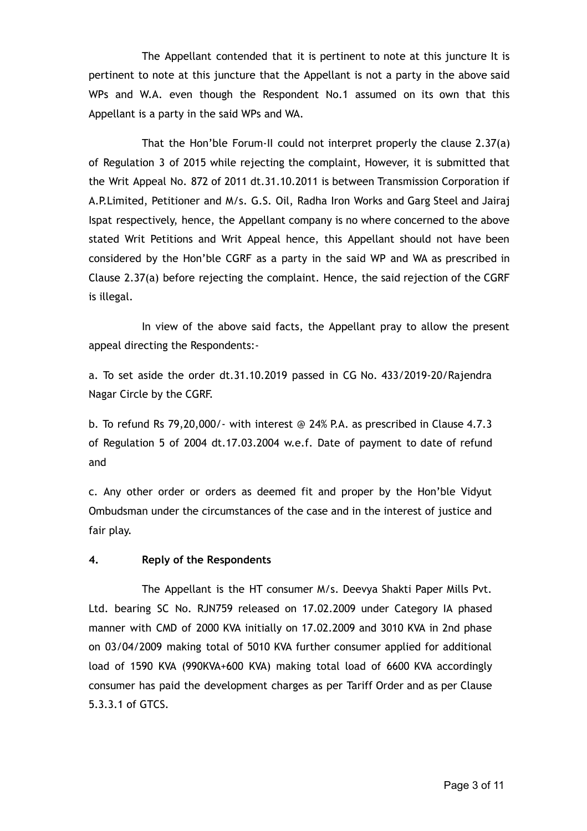The Appellant contended that it is pertinent to note at this juncture It is pertinent to note at this juncture that the Appellant is not a party in the above said WPs and W.A. even though the Respondent No.1 assumed on its own that this Appellant is a party in the said WPs and WA.

That the Hon'ble Forum-II could not interpret properly the clause 2.37(a) of Regulation 3 of 2015 while rejecting the complaint, However, it is submitted that the Writ Appeal No. 872 of 2011 dt.31.10.2011 is between Transmission Corporation if A.P.Limited, Petitioner and M/s. G.S. Oil, Radha Iron Works and Garg Steel and Jairaj Ispat respectively, hence, the Appellant company is no where concerned to the above stated Writ Petitions and Writ Appeal hence, this Appellant should not have been considered by the Hon'ble CGRF as a party in the said WP and WA as prescribed in Clause 2.37(a) before rejecting the complaint. Hence, the said rejection of the CGRF is illegal.

In view of the above said facts, the Appellant pray to allow the present appeal directing the Respondents:-

a. To set aside the order dt.31.10.2019 passed in CG No. 433/2019-20/Rajendra Nagar Circle by the CGRF.

b. To refund Rs 79,20,000/- with interest @ 24% P.A. as prescribed in Clause 4.7.3 of Regulation 5 of 2004 dt.17.03.2004 w.e.f. Date of payment to date of refund and

c. Any other order or orders as deemed fit and proper by the Hon'ble Vidyut Ombudsman under the circumstances of the case and in the interest of justice and fair play.

# **4. Reply of the Respondents**

The Appellant is the HT consumer M/s. Deevya Shakti Paper Mills Pvt. Ltd. bearing SC No. RJN759 released on 17.02.2009 under Category IA phased manner with CMD of 2000 KVA initially on 17.02.2009 and 3010 KVA in 2nd phase on 03/04/2009 making total of 5010 KVA further consumer applied for additional load of 1590 KVA (990KVA+600 KVA) making total load of 6600 KVA accordingly consumer has paid the development charges as per Tariff Order and as per Clause 5.3.3.1 of GTCS.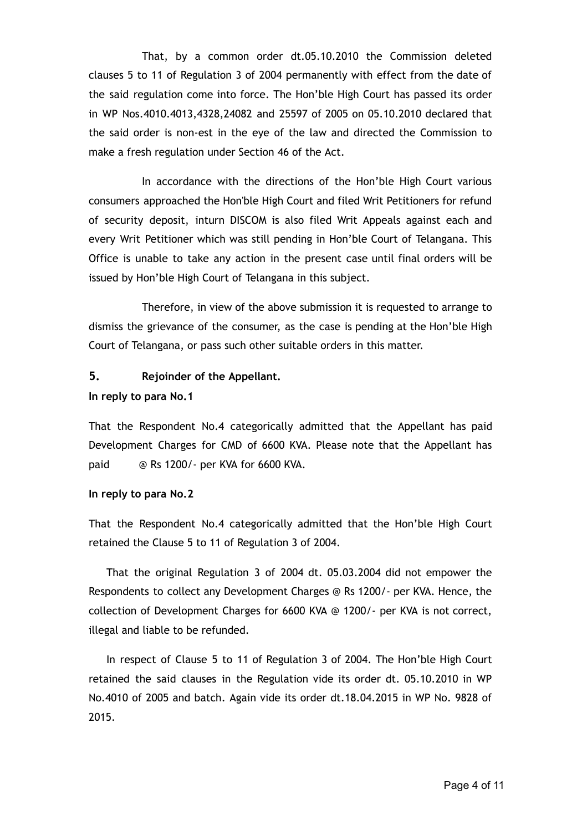That, by a common order dt.05.10.2010 the Commission deleted clauses 5 to 11 of Regulation 3 of 2004 permanently with effect from the date of the said regulation come into force. The Hon'ble High Court has passed its order in WP Nos.4010.4013,4328,24082 and 25597 of 2005 on 05.10.2010 declared that the said order is non-est in the eye of the law and directed the Commission to make a fresh regulation under Section 46 of the Act.

In accordance with the directions of the Hon'ble High Court various consumers approached the Hon'ble High Court and filed Writ Petitioners for refund of security deposit, inturn DISCOM is also filed Writ Appeals against each and every Writ Petitioner which was still pending in Hon'ble Court of Telangana. This Office is unable to take any action in the present case until final orders will be issued by Hon'ble High Court of Telangana in this subject.

Therefore, in view of the above submission it is requested to arrange to dismiss the grievance of the consumer, as the case is pending at the Hon'ble High Court of Telangana, or pass such other suitable orders in this matter.

# **5. Rejoinder of the Appellant.**

### **In reply to para No.1**

That the Respondent No.4 categorically admitted that the Appellant has paid Development Charges for CMD of 6600 KVA. Please note that the Appellant has paid @ Rs 1200/- per KVA for 6600 KVA.

### **In reply to para No.2**

That the Respondent No.4 categorically admitted that the Hon'ble High Court retained the Clause 5 to 11 of Regulation 3 of 2004.

That the original Regulation 3 of 2004 dt. 05.03.2004 did not empower the Respondents to collect any Development Charges @ Rs 1200/- per KVA. Hence, the collection of Development Charges for 6600 KVA @ 1200/- per KVA is not correct, illegal and liable to be refunded.

In respect of Clause 5 to 11 of Regulation 3 of 2004. The Hon'ble High Court retained the said clauses in the Regulation vide its order dt. 05.10.2010 in WP No.4010 of 2005 and batch. Again vide its order dt.18.04.2015 in WP No. 9828 of 2015.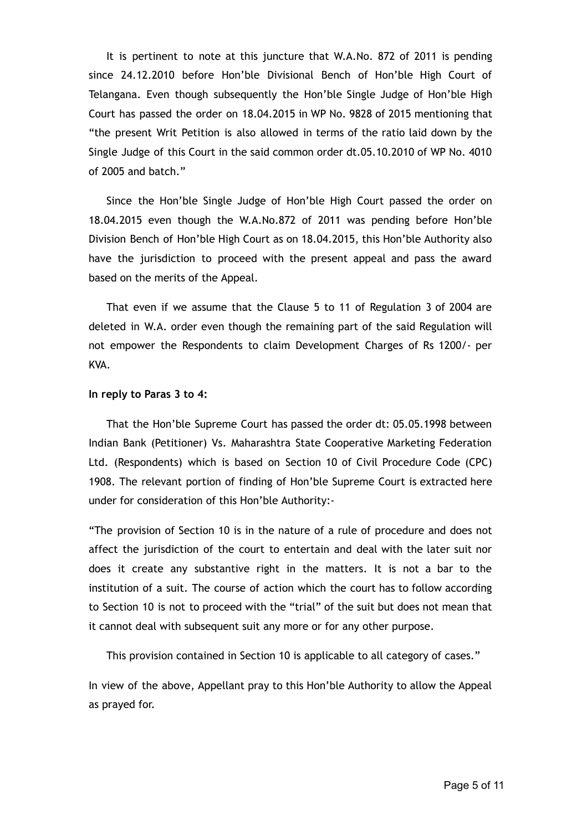It is pertinent to note at this juncture that W.A.No. 872 of 2011 is pending since 24.12.2010 before Hon'ble Divisional Bench of Hon'ble High Court of Telangana. Even though subsequently the Hon'ble Single Judge of Hon'ble High Court has passed the order on 18.04.2015 in WP No. 9828 of 2015 mentioning that "the present Writ Petition is also allowed in terms of the ratio laid down by the Single Judge of this Court in the said common order dt.05.10.2010 of WP No. 4010 of 2005 and batch."

Since the Hon'ble Single Judge of Hon'ble High Court passed the order on 18.04.2015 even though the W.A.No.872 of 2011 was pending before Hon'ble Division Bench of Hon'ble High Court as on 18.04.2015, this Hon'ble Authority also have the jurisdiction to proceed with the present appeal and pass the award based on the merits of the Appeal.

That even if we assume that the Clause 5 to 11 of Regulation 3 of 2004 are deleted in W.A. order even though the remaining part of the said Regulation will not empower the Respondents to claim Development Charges of Rs 1200/- per KVA.

#### **In reply to Paras 3 to 4:**

That the Hon'ble Supreme Court has passed the order dt: 05.05.1998 between Indian Bank (Petitioner) Vs. Maharashtra State Cooperative Marketing Federation Ltd. (Respondents) which is based on Section 10 of Civil Procedure Code (CPC) 1908. The relevant portion of finding of Hon'ble Supreme Court is extracted here under for consideration of this Hon'ble Authority:-

"The provision of Section 10 is in the nature of a rule of procedure and does not affect the jurisdiction of the court to entertain and deal with the later suit nor does it create any substantive right in the matters. It is not a bar to the institution of a suit. The course of action which the court has to follow according to Section 10 is not to proceed with the "trial" of the suit but does not mean that it cannot deal with subsequent suit any more or for any other purpose.

This provision contained in Section 10 is applicable to all category of cases."

In view of the above, Appellant pray to this Hon'ble Authority to allow the Appeal as prayed for.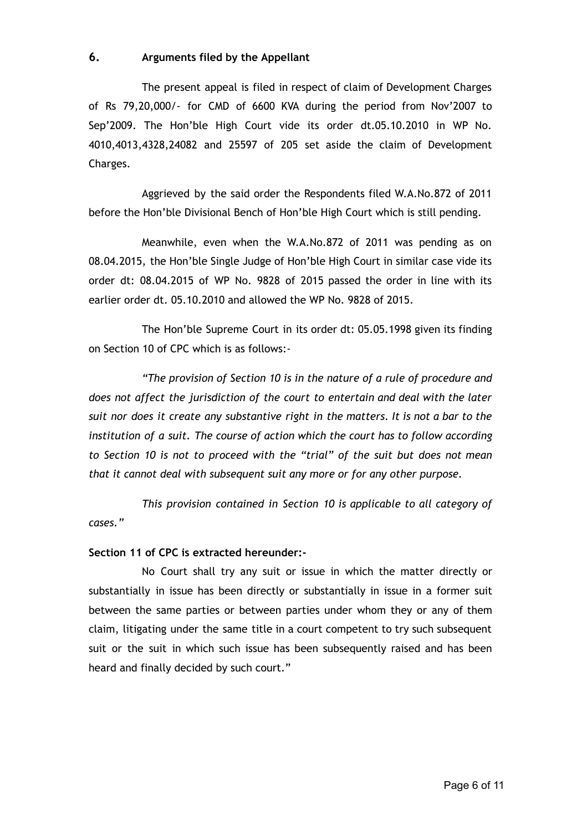# **6. Arguments filed by the Appellant**

The present appeal is filed in respect of claim of Development Charges of Rs 79,20,000/- for CMD of 6600 KVA during the period from Nov'2007 to Sep'2009. The Hon'ble High Court vide its order dt.05.10.2010 in WP No. 4010,4013,4328,24082 and 25597 of 205 set aside the claim of Development Charges.

Aggrieved by the said order the Respondents filed W.A.No.872 of 2011 before the Hon'ble Divisional Bench of Hon'ble High Court which is still pending.

Meanwhile, even when the W.A.No.872 of 2011 was pending as on 08.04.2015, the Hon'ble Single Judge of Hon'ble High Court in similar case vide its order dt: 08.04.2015 of WP No. 9828 of 2015 passed the order in line with its earlier order dt. 05.10.2010 and allowed the WP No. 9828 of 2015.

The Hon'ble Supreme Court in its order dt: 05.05.1998 given its finding on Section 10 of CPC which is as follows:-

*"The provision of Section 10 is in the nature of a rule of procedure and does not affect the jurisdiction of the court to entertain and deal with the later suit nor does it create any substantive right in the matters. It is not a bar to the institution of a suit. The course of action which the court has to follow according to Section 10 is not to proceed with the "trial" of the suit but does not mean that it cannot deal with subsequent suit any more or for any other purpose.*

*This provision contained in Section 10 is applicable to all category of cases."*

# **Section 11 of CPC is extracted hereunder:-**

No Court shall try any suit or issue in which the matter directly or substantially in issue has been directly or substantially in issue in a former suit between the same parties or between parties under whom they or any of them claim, litigating under the same title in a court competent to try such subsequent suit or the suit in which such issue has been subsequently raised and has been heard and finally decided by such court."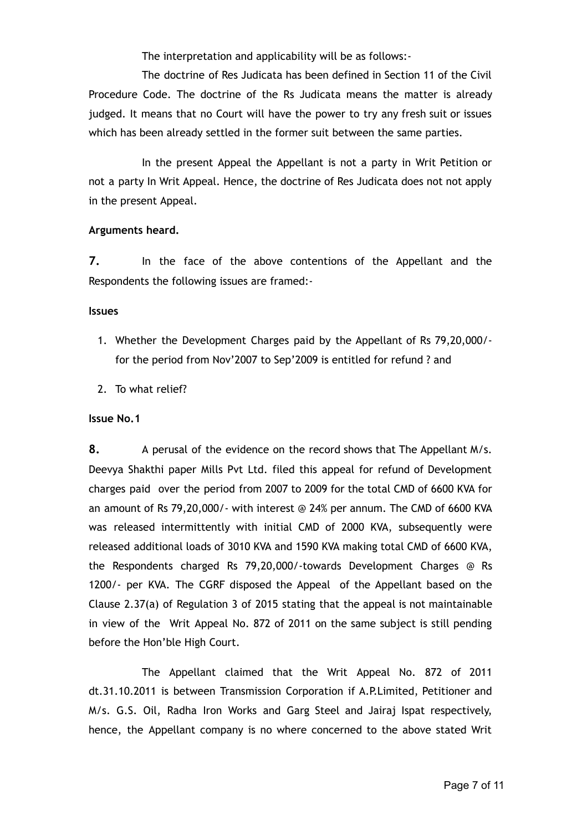The interpretation and applicability will be as follows:-

The doctrine of Res Judicata has been defined in Section 11 of the Civil Procedure Code. The doctrine of the Rs Judicata means the matter is already judged. It means that no Court will have the power to try any fresh suit or issues which has been already settled in the former suit between the same parties.

In the present Appeal the Appellant is not a party in Writ Petition or not a party In Writ Appeal. Hence, the doctrine of Res Judicata does not not apply in the present Appeal.

## **Arguments heard.**

**7.** In the face of the above contentions of the Appellant and the Respondents the following issues are framed:-

### **Issues**

- 1. Whether the Development Charges paid by the Appellant of Rs 79,20,000/ for the period from Nov'2007 to Sep'2009 is entitled for refund ? and
- 2. To what relief?

# **Issue No.1**

**8.** A perusal of the evidence on the record shows that The Appellant M/s. Deevya Shakthi paper Mills Pvt Ltd. filed this appeal for refund of Development charges paid over the period from 2007 to 2009 for the total CMD of 6600 KVA for an amount of Rs 79,20,000/- with interest @ 24% per annum. The CMD of 6600 KVA was released intermittently with initial CMD of 2000 KVA, subsequently were released additional loads of 3010 KVA and 1590 KVA making total CMD of 6600 KVA, the Respondents charged Rs 79,20,000/-towards Development Charges @ Rs 1200/- per KVA. The CGRF disposed the Appeal of the Appellant based on the Clause 2.37(a) of Regulation 3 of 2015 stating that the appeal is not maintainable in view of the Writ Appeal No. 872 of 2011 on the same subject is still pending before the Hon'ble High Court.

The Appellant claimed that the Writ Appeal No. 872 of 2011 dt.31.10.2011 is between Transmission Corporation if A.P.Limited, Petitioner and M/s. G.S. Oil, Radha Iron Works and Garg Steel and Jairaj Ispat respectively, hence, the Appellant company is no where concerned to the above stated Writ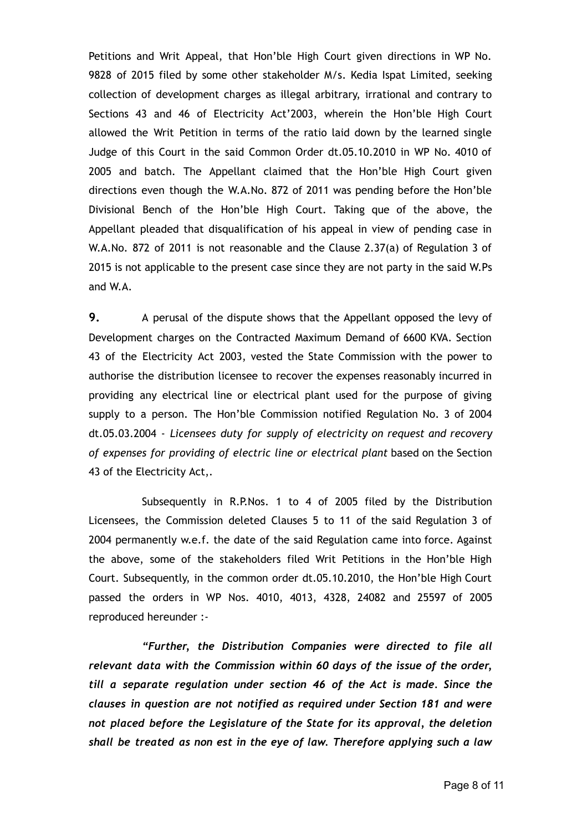Petitions and Writ Appeal, that Hon'ble High Court given directions in WP No. 9828 of 2015 filed by some other stakeholder M/s. Kedia Ispat Limited, seeking collection of development charges as illegal arbitrary, irrational and contrary to Sections 43 and 46 of Electricity Act'2003, wherein the Hon'ble High Court allowed the Writ Petition in terms of the ratio laid down by the learned single Judge of this Court in the said Common Order dt.05.10.2010 in WP No. 4010 of 2005 and batch. The Appellant claimed that the Hon'ble High Court given directions even though the W.A.No. 872 of 2011 was pending before the Hon'ble Divisional Bench of the Hon'ble High Court. Taking que of the above, the Appellant pleaded that disqualification of his appeal in view of pending case in W.A.No. 872 of 2011 is not reasonable and the Clause 2.37(a) of Regulation 3 of 2015 is not applicable to the present case since they are not party in the said W.Ps and W.A.

**9.** A perusal of the dispute shows that the Appellant opposed the levy of Development charges on the Contracted Maximum Demand of 6600 KVA. Section 43 of the Electricity Act 2003, vested the State Commission with the power to authorise the distribution licensee to recover the expenses reasonably incurred in providing any electrical line or electrical plant used for the purpose of giving supply to a person. The Hon'ble Commission notified Regulation No. 3 of 2004 dt.05.03.2004 - *Licensees duty for supply of electricity on request and recovery of expenses for providing of electric line or electrical plant* based on the Section 43 of the Electricity Act,.

Subsequently in R.P.Nos. 1 to 4 of 2005 filed by the Distribution Licensees, the Commission deleted Clauses 5 to 11 of the said Regulation 3 of 2004 permanently w.e.f. the date of the said Regulation came into force. Against the above, some of the stakeholders filed Writ Petitions in the Hon'ble High Court. Subsequently, in the common order dt.05.10.2010, the Hon'ble High Court passed the orders in WP Nos. 4010, 4013, 4328, 24082 and 25597 of 2005 reproduced hereunder :-

*"Further, the Distribution Companies were directed to file all relevant data with the Commission within 60 days of the issue of the order, till a separate regulation under section 46 of the Act is made. Since the clauses in question are not notified as required under Section 181 and were not placed before the Legislature of the State for its approval, the deletion shall be treated as non est in the eye of law. Therefore applying such a law*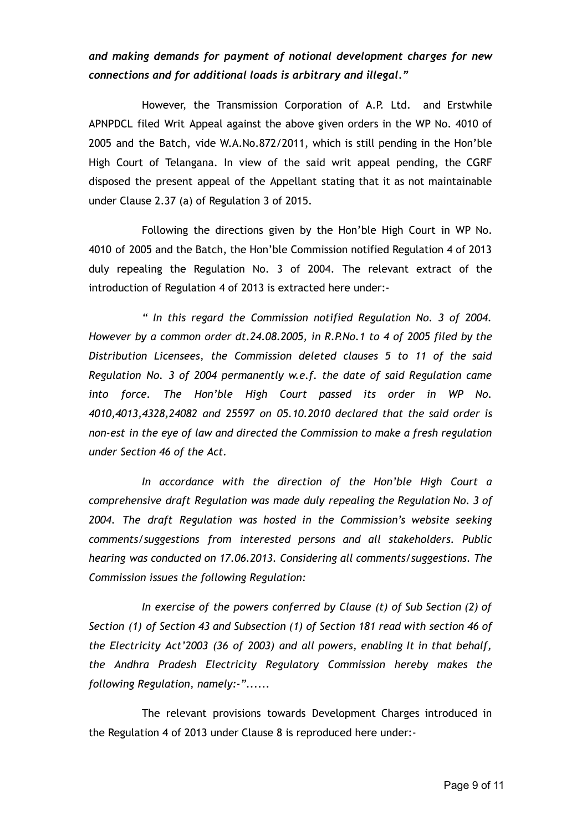# *and making demands for payment of notional development charges for new connections and for additional loads is arbitrary and illegal."*

However, the Transmission Corporation of A.P. Ltd. and Erstwhile APNPDCL filed Writ Appeal against the above given orders in the WP No. 4010 of 2005 and the Batch, vide W.A.No.872/2011, which is still pending in the Hon'ble High Court of Telangana. In view of the said writ appeal pending, the CGRF disposed the present appeal of the Appellant stating that it as not maintainable under Clause 2.37 (a) of Regulation 3 of 2015.

Following the directions given by the Hon'ble High Court in WP No. 4010 of 2005 and the Batch, the Hon'ble Commission notified Regulation 4 of 2013 duly repealing the Regulation No. 3 of 2004. The relevant extract of the introduction of Regulation 4 of 2013 is extracted here under:-

*" In this regard the Commission notified Regulation No. 3 of 2004. However by a common order dt.24.08.2005, in R.P.No.1 to 4 of 2005 filed by the Distribution Licensees, the Commission deleted clauses 5 to 11 of the said Regulation No. 3 of 2004 permanently w.e.f. the date of said Regulation came into force. The Hon'ble High Court passed its order in WP No. 4010,4013,4328,24082 and 25597 on 05.10.2010 declared that the said order is non-est in the eye of law and directed the Commission to make a fresh regulation under Section 46 of the Act.*

*In accordance with the direction of the Hon'ble High Court a comprehensive draft Regulation was made duly repealing the Regulation No. 3 of 2004. The draft Regulation was hosted in the Commission's website seeking comments/suggestions from interested persons and all stakeholders. Public hearing was conducted on 17.06.2013. Considering all comments/suggestions. The Commission issues the following Regulation:*

*In exercise of the powers conferred by Clause (t) of Sub Section (2) of Section (1) of Section 43 and Subsection (1) of Section 181 read with section 46 of the Electricity Act'2003 (36 of 2003) and all powers, enabling It in that behalf, the Andhra Pradesh Electricity Regulatory Commission hereby makes the following Regulation, namely:-"......*

The relevant provisions towards Development Charges introduced in the Regulation 4 of 2013 under Clause 8 is reproduced here under:-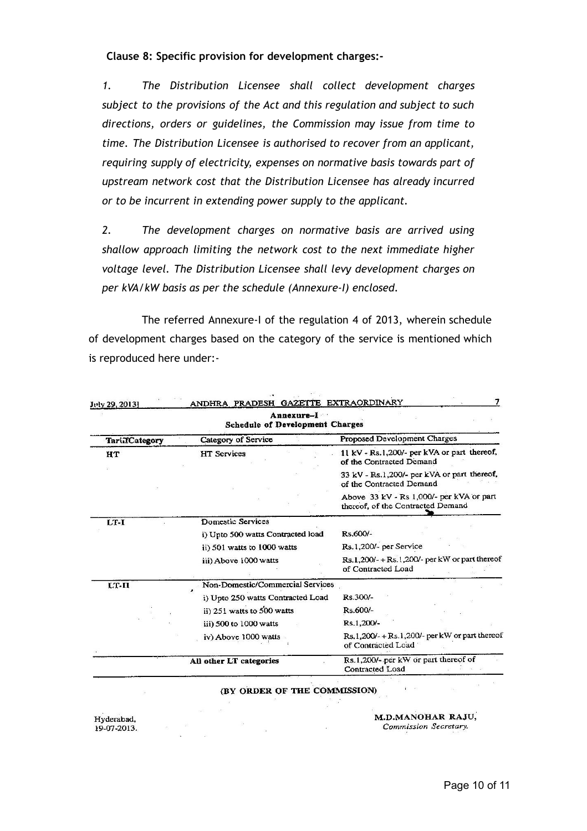**Clause 8: Specific provision for development charges:-**

*1. The Distribution Licensee shall collect development charges subject to the provisions of the Act and this regulation and subject to such directions, orders or guidelines, the Commission may issue from time to time. The Distribution Licensee is authorised to recover from an applicant, requiring supply of electricity, expenses on normative basis towards part of upstream network cost that the Distribution Licensee has already incurred or to be incurrent in extending power supply to the applicant.*

*2. The development charges on normative basis are arrived using shallow approach limiting the network cost to the next immediate higher voltage level. The Distribution Licensee shall levy development charges on per kVA/kW basis as per the schedule (Annexure-I) enclosed.*

The referred Annexure-I of the regulation 4 of 2013, wherein schedule of development charges based on the category of the service is mentioned which is reproduced here under:-

| Annexure-I<br><b>Schedule of Development Charges</b> |                                   |                                                                               |
|------------------------------------------------------|-----------------------------------|-------------------------------------------------------------------------------|
| TariifCategory                                       | Category of Service               | Proposed Development Charges                                                  |
| HT                                                   | <b>HT</b> Services                | 11 kV - Rs.1,200/- per kVA or part thereof,<br>of the Contracted Demand       |
|                                                      |                                   | 33 kV - Rs.1,200/- per kVA or part thereof,<br>of the Contracted Demand       |
|                                                      |                                   | Above 33 kV - Rs 1,000/- per kVA or part<br>thereof, of the Contracted Demand |
| $LT-I$                                               | Domestic Services                 |                                                                               |
|                                                      | i) Upto 500 watts Contracted load | Rs.600/-                                                                      |
|                                                      | ii) 501 watts to 1000 watts       | Rs.1,200/- per Service                                                        |
|                                                      | iii) Above 1000 watts             | $Rs.1,200/- + Rs.1,200/-$ per kW or part thereof<br>of Contracted Load        |
| LT-II                                                | Non-Domestic/Commercial Services  |                                                                               |
|                                                      | i) Upto 250 watts Contracted Load | Rs.300/-                                                                      |
|                                                      | ii) 251 watts to 500 watts        | Rs.600/-                                                                      |
|                                                      | iii) 500 to 1000 watts            | Rs.1,200/-                                                                    |
|                                                      | iv) Above 1000 watts              | $Rs.1,200/- + Rs.1,200/-$ per kW or part thereof<br>of Contracted Load        |
|                                                      | All other LT categories           | Rs.1,200/- per kW or part thereof of<br>Contracted Load                       |

(BY ORDER OF THE 

 $\mathcal{A}$ 

Hyderabad, 19-07-2013.

 $\overline{\mathcal{O}}$ 

M.D.MANOHAR RAJU,<br>Commission Secretary.